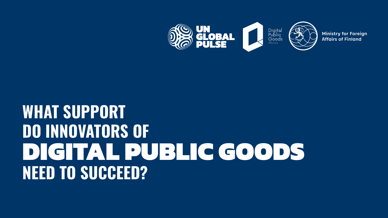

# WHAT SUPPORT DO INNOVATORS OF DIGITAL PUBLIC GOODS NEED TO SUCCEED?

**Ministry for Foreign Affairs of Finland** 

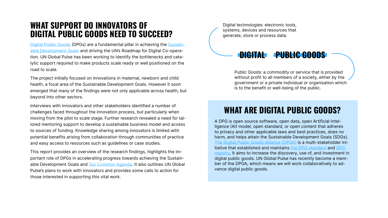# WHAT SUPPORT DO INNOVATORS OF DIGITAL PUBLIC GOODS NEED TO SUCCEED?

[Digital Public Goods](https://digitalpublicgoods.net/registry/) (DPGs) are a fundamental pillar in achieving the [Sustain](https://sdgs.un.org/goals)[able Development Goals](https://sdgs.un.org/goals) and driving the UN's Roadmap for Digital Co-operation. UN Global Pulse has been working to identify the bottlenecks and catalytic support required to make products scale ready or well positioned on the road to scale.

The project initially focused on innovations in maternal, newborn and child health, a focal area of the Sustainable Development Goals. However it soon emerged that many of the findings were not only applicable across health, but beyond into other sectors.

Interviews with innovators and other stakeholders identified a number of challenges faced throughout the innovation process, but particularly when moving from the pilot to scale stage. Further research revealed a need for tailored mentoring support to develop a sustainable business model and access to sources of funding. Knowledge sharing among innovators is limited with potential benefits arising from collaboration through communities of practice and easy access to resources such as guidelines or case studies.

This report provides an overview of the research findings, highlights the important role of DPGs in accelerating progress towards achieving the Sustain-able Development Goals and [Our Common Agenda](https://www.un.org/en/un75/common-agenda). It also outlines UN Global Pulse's plans to work with innovators and provides some calls to action for those interested in supporting this vital work.

# WHAT ARE DIGITAL PUBLIC GOODS?

A DPG is open source software, open data, open Artificial Intelligence (AI) model, open standard, or open content that adheres to privacy and other applicable laws and best practices, does no harm, and helps attain the Sustainable Development Goals (SDGs). The [Digital Public Goods Alliance \(DPGA\)](https://digitalpublicgoods.net/) is a multi-stakeholder initiative that established and maintains the [DPG standard](https://digitalpublicgoods.net/standard/) and [DPG](https://digitalpublicgoods.net/registry/)  [registry](https://digitalpublicgoods.net/registry/). It aims to increase the discovery, use of, and investment in digital public goods. UN Global Pulse has recently become a member of the DPGA, which means we will work collaboratively to advance digital public goods.

Public Goods: a commodity or service that is provided without profit to all members of a society, either by the government or a private individual or organisation which is to the benefit or well-being of the public.

Digital technologies: electronic tools, systems, devices and resources that generate, store or process data.

## **PUBLIC GOODS**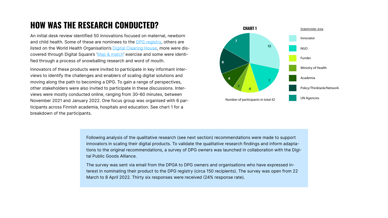# HOW WAS THE RESEARCH CONDUCTED?

An initial desk review identified 50 innovations focused on maternal, newborn and child health. Some of these are nominees to th[e DPG registry](https://digitalpublicgoods.net/registry/), others are listed on the World Health Organisation's [Digital Clearing House](https://who-dch.powerappsportals.com/en/), more were dis-covered through Digital Square's '[Map & match](https://digitalsquare.org/covid19-map-match)' exercise and some were identified through a process of snowballing research and word of mouth.

Innovators of these products were invited to participate in key informant interviews to identify the challenges and enablers of scaling digital solutions and moving along the path to becoming a DPG. To gain a range of perspectives, other stakeholders were also invited to participate in these discussions. Interviews were mostly conducted online, ranging from 30–60 minutes, between November 2021 and January 2022. One focus group was organised with 6 participants across Finnish academia, hospitals and education. See chart 1 for a breakdown of the participants.

> Following analysis of the qualitative research (see next section) recommendations were made to support innovators in scaling their digital products. To validate the qualitative research findings and inform adaptations to the original recommendations, a survey of DPG owners was launched in collaboration with the Digital Public Goods Alliance.

The survey was sent via email from the DPGA to DPG owners and organisations who have expressed interest in nominating their product to the DPG registry (circa 150 recipients). The survey was open from 22 March to 8 April 2022. Thirty six responses were received (24% response rate).

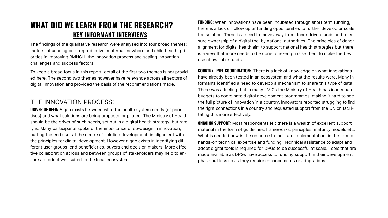To keep a broad focus in this report, detail of the first two themes is not provided here. The second two themes however have relevance across all sectors of digital innovation and provided the basis of the recommendations made. **COUNTRY LEVEL COORDINATION:** There is a lack of knowledge on what innovations have already been tested in an ecosystem and what the results were. Many informants identified a need to develop a mechanism to share this type of data. There was a feeling that in many LMICs the Ministry of Health has inadequate budgets to coordinate digital development programmes, making it hard to see the full picture of innovation in a country. Innovators reported struggling to find the right connections in a country and requested support from the UN on facilitating this more effectively. **DRIVER OF NEED:** A gap exists between what the health system needs (or priori-

The findings of the qualitative research were analysed into four broad themes: factors influencing poor reproductive, maternal, newborn and child health; priorities in improving RMNCH; the innovation process and scaling innovation challenges and success factors.

**FUNDING:** When innovations have been incubated through short term funding, there is a lack of follow up or funding opportunities to further develop or scale the solution. There is a need to move away from donor driven funds and to ensure ownership of a digital tool by national authorities. The principles of donor alignment for digital health aim to support national health strategies but there is a view that more needs to be done to re-emphasise them to make the best use of available funds.

#### THE INNOVATION PROCESS:

**ONGOING SUPPORT:** Most respondents felt there is a wealth of excellent support material in the form of guidelines, frameworks, principles, maturity models etc. What is needed now is the resource to facilitate implementation, in the form of hands-on technical expertise and funding. Technical assistance to adapt and adopt digital tools is required for DPGs to be successful at scale. Tools that are made available as DPGs have access to funding support in their development phase but less so as they require enhancements or adaptations. tises) and what solutions are being proposed or piloted. The Ministry of Health should be the driver of such needs, set out in a digital health strategy, but rarely is. Many participants spoke of the importance of co-design in innovation, putting the end user at the centre of solution development, in alignment with the principles for digital development. However a gap exists in identifying different user groups, end beneficiaries, buyers and decision makers. More effective collaboration across and between groups of stakeholders may help to ensure a product well suited to the local ecosystem.

# KEY INFORMANT INTERVIEWS WHAT DID WE LEARN FROM THE RESEARCH?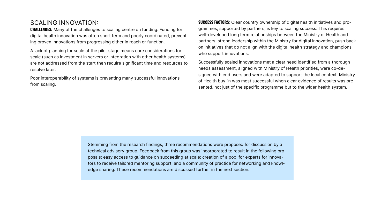scale (such as investment in servers or integration with other health systems) are not addressed from the start then require significant time and resources to resolve later.

SCALING INNOVATION: **CHALLENGES:** Many of the challenges to scaling centre on funding. Funding for digital health innovation was often short term and poorly coordinated, preventing proven innovations from progressing either in reach or function. A lack of planning for scale at the pilot stage means core considerations for SUCCESS FACTORS: Clear country ownership of digital health initiatives and programmes, supported by partners, is key to scaling success. This requires well-developed long term relationships between the Ministry of Health and partners, strong leadership within the Ministry for digital innovation, push back on initiatives that do not align with the digital health strategy and champions who support innovations.

Poor interoperability of systems is preventing many successful innovations from scaling.

Successfully scaled innovations met a clear need identified from a thorough needs assessment, aligned with Ministry of Health priorities, were co-designed with end users and were adapted to support the local context. Ministry of Health buy-in was most successful when clear evidence of results was presented, not just of the specific programme but to the wider health system.

Stemming from the research findings, three recommendations were proposed for discussion by a technical advisory group. Feedback from this group was incorporated to result in the following proposals: easy access to guidance on succeeding at scale; creation of a pool for experts for innovators to receive tailored mentoring support; and a community of practice for networking and knowledge sharing. These recommendations are discussed further in the next section.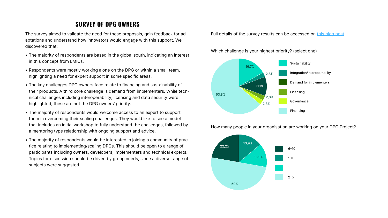### SURVEY OF DPG OWNERS

The survey aimed to validate the need for these proposals, gain feedback for adaptations and understand how innovators would engage with this support. We discovered that:

- The majority of respondents are based in the global south, indicating an interest in this concept from LMICs.
- Respondents were mostly working alone on the DPG or within a small team, highlighting a need for expert support in some specific areas.
- The key challenges DPG owners face relate to financing and sustainability of their products. A third core challenge is demand from implementers. While technical challenges including interoperability, licensing and data security were highlighted, these are not the DPG owners' priority.
- The majority of respondents would welcome access to an expert to support them in overcoming their scaling challenges. They would like to see a model that includes an initial workshop to fully understand the challenges, followed by a mentoring type relationship with ongoing support and advice.
- The majority of respondents would be interested in joining a community of practice relating to implementing/scaling DPGs. This should be open to a range of participants including owners, developers, implementers and technical experts. Topics for discussion should be driven by group needs, since a diverse range of subjects were suggested.

#### Full details of the survey results can be accessed on [this blog post.](https://www.unglobalpulse.org/2022/05/the-challenges-and-opportunities-of-scaling-digital-public-goods/)

How many people in your organisation are working on your DPG Project?

Which challenge is your highest priority? (select one)



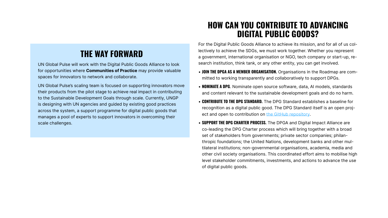# THE WAY FORWARD

UN Global Pulse will work with the Digital Public Goods Alliance to look for opportunities where **Communities of Practice** may provide valuable spaces for innovators to network and collaborate.

UN Global Pulse's scaling team is focused on supporting innovators move their products from the pilot stage to achieve real impact in contributing to the Sustainable Development Goals through scale. Currently, UNGP is designing with UN agencies and guided by existing good practices across the system, a support programme for digital public goods that manages a pool of experts to support innovators in overcoming their scale challenges.

# HOW CAN YOU CONTRIBUTE TO ADVANCING DIGITAL PUBLIC GOODS?

For the Digital Public Goods Alliance to achieve its mission, and for all of us collectively to achieve the SDGs, we must work together. Whether you represent a government, international organisation or NGO, tech company or start-up, research institution, think tank, or any other entity, you can get involved.

- JOIN THE DPGA AS A MEMBER ORGANISATION. Organisations in the Roadmap are committed to working transparently and collaboratively to support DPGs.
- **NOMINATE A DPG**. Nominate open source software, data, AI models, standards and content relevant to the sustainable development goals and do no harm.
- CONTRIBUTE TO THE DPG STANDARD. The DPG Standard establishes a baseline for recognition as a digital public good. The DPG Standard itself is an open project and open to contribution on [the GitHub repository](https://github.com/DPGAlliance/DPG-Standard/blob/main/standard.md).
- **SUPPORT THE DPG CHARTER PROCESS.** The DPGA and Digital Impact Alliance are co-leading the DPG Charter process which will bring together with a broad set of stakeholders from governments; private sector companies; philanthropic foundations; the United Nations, development banks and other multilateral institutions; non-governmental organisations, academia, media and other civil society organisations. This coordinated effort aims to mobilise high level stakeholder commitments, investments, and actions to advance the use of digital public goods.